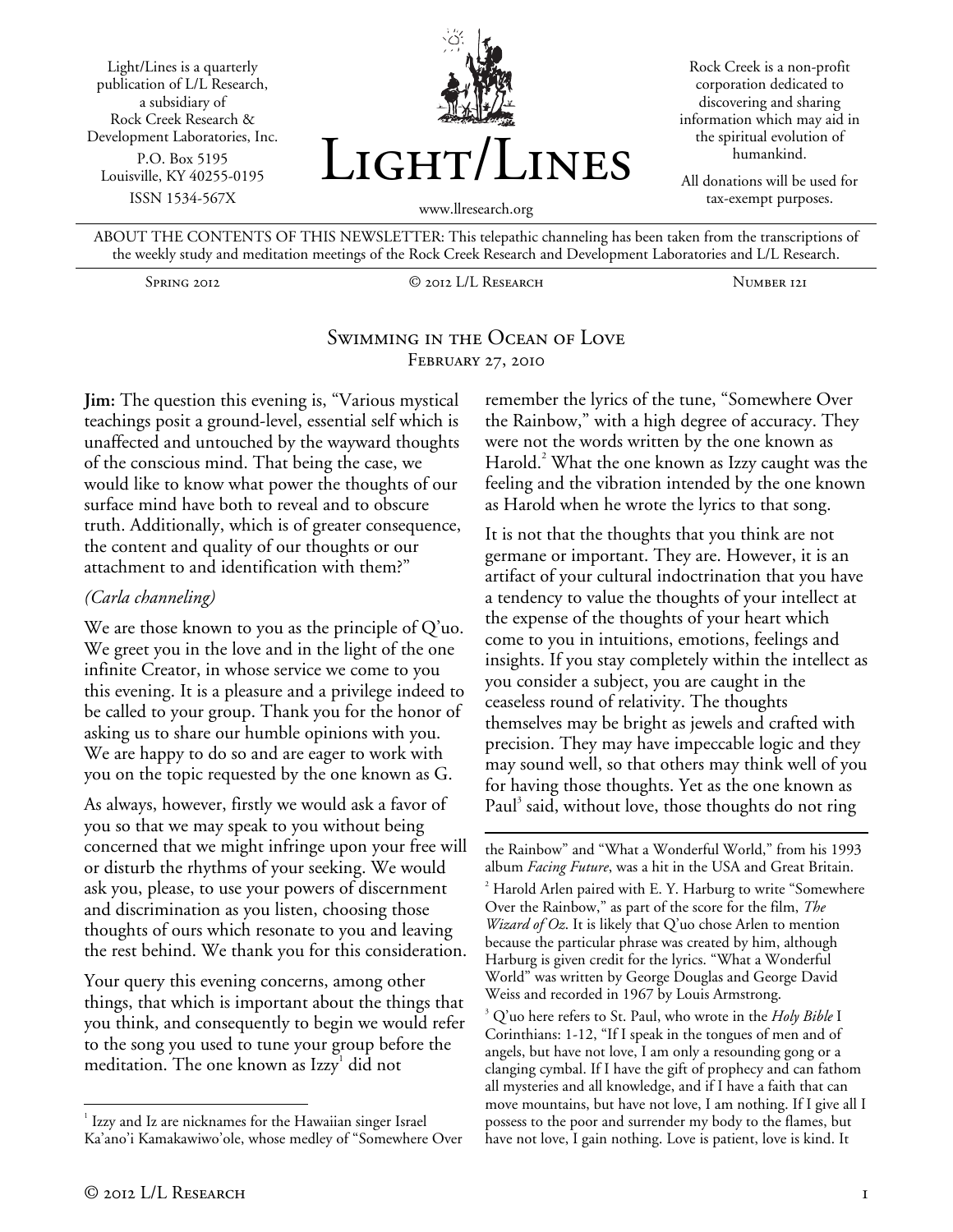Light/Lines is a quarterly publication of L/L Research, a subsidiary of Rock Creek Research & Development Laboratories, Inc. P.O. Box 5195 Louisville, KY 40255-0195 ISSN 1534-567X



Rock Creek is a non-profit corporation dedicated to discovering and sharing information which may aid in the spiritual evolution of humankind.

All donations will be used for tax-exempt purposes.

www.llresearch.org

ABOUT THE CONTENTS OF THIS NEWSLETTER: This telepathic channeling has been taken from the transcriptions of the weekly study and meditation meetings of the Rock Creek Research and Development Laboratories and L/L Research.

Spring 2012 © 2012 L/L Research Number 121

### Swimming in the Ocean of Love FEBRUARY 27, 2010

**Jim:** The question this evening is, "Various mystical teachings posit a ground-level, essential self which is unaffected and untouched by the wayward thoughts of the conscious mind. That being the case, we would like to know what power the thoughts of our surface mind have both to reveal and to obscure truth. Additionally, which is of greater consequence, the content and quality of our thoughts or our attachment to and identification with them?"

### *(Carla channeling)*

We are those known to you as the principle of Q'uo. We greet you in the love and in the light of the one infinite Creator, in whose service we come to you this evening. It is a pleasure and a privilege indeed to be called to your group. Thank you for the honor of asking us to share our humble opinions with you. We are happy to do so and are eager to work with you on the topic requested by the one known as G.

As always, however, firstly we would ask a favor of you so that we may speak to you without being concerned that we might infringe upon your free will or disturb the rhythms of your seeking. We would ask you, please, to use your powers of discernment and discrimination as you listen, choosing those thoughts of ours which resonate to you and leaving the rest behind. We thank you for this consideration.

Your query this evening concerns, among other things, that which is important about the things that you think, and consequently to begin we would refer to the song you used to tune your group before the meditation. The one known as Izzy<sup>1</sup> did not

remember the lyrics of the tune, "Somewhere Over the Rainbow," with a high degree of accuracy. They were not the words written by the one known as Harold.<sup>2</sup> What the one known as Izzy caught was the feeling and the vibration intended by the one known as Harold when he wrote the lyrics to that song.

It is not that the thoughts that you think are not germane or important. They are. However, it is an artifact of your cultural indoctrination that you have a tendency to value the thoughts of your intellect at the expense of the thoughts of your heart which come to you in intuitions, emotions, feelings and insights. If you stay completely within the intellect as you consider a subject, you are caught in the ceaseless round of relativity. The thoughts themselves may be bright as jewels and crafted with precision. They may have impeccable logic and they may sound well, so that others may think well of you for having those thoughts. Yet as the one known as Paul<sup>3</sup> said, without love, those thoughts do not ring

 $\overline{a}$ the Rainbow" and "What a Wonderful World," from his 1993 album *Facing Future*, was a hit in the USA and Great Britain. 2

<sup>&</sup>lt;u>.</u> <sup>1</sup> Izzy and Iz are nicknames for the Hawaiian singer Israel Ka'ano'i Kamakawiwo'ole, whose medley of "Somewhere Over

 $2$  Harold Arlen paired with E. Y. Harburg to write "Somewhere Over the Rainbow," as part of the score for the film, *The Wizard of Oz*. It is likely that Q'uo chose Arlen to mention because the particular phrase was created by him, although Harburg is given credit for the lyrics. "What a Wonderful World" was written by George Douglas and George David Weiss and recorded in 1967 by Louis Armstrong.

Q'uo here refers to St. Paul, who wrote in the *Holy Bible* I Corinthians: 1-12, "If I speak in the tongues of men and of angels, but have not love, I am only a resounding gong or a clanging cymbal. If I have the gift of prophecy and can fathom all mysteries and all knowledge, and if I have a faith that can move mountains, but have not love, I am nothing. If I give all I possess to the poor and surrender my body to the flames, but have not love, I gain nothing. Love is patient, love is kind. It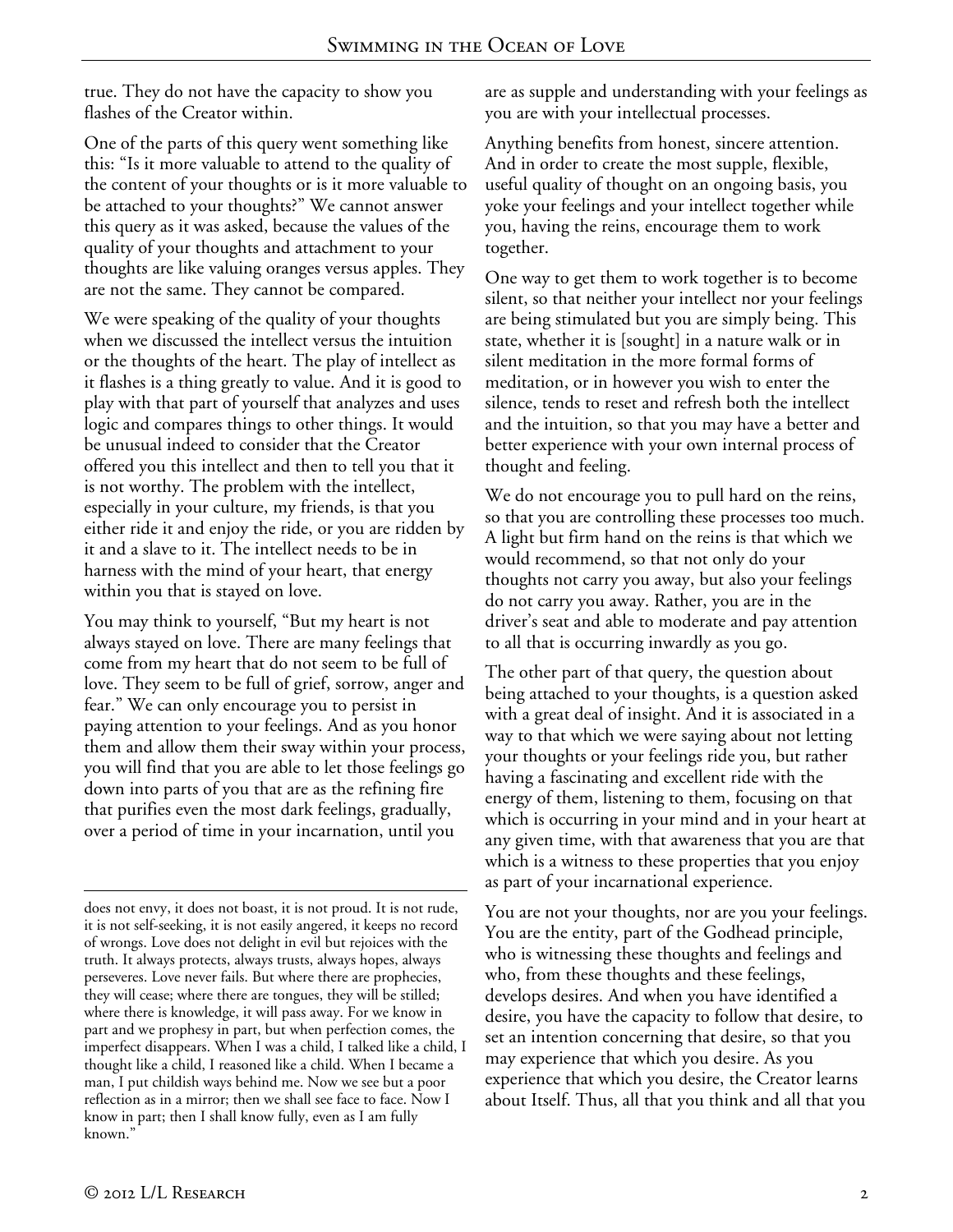true. They do not have the capacity to show you flashes of the Creator within.

One of the parts of this query went something like this: "Is it more valuable to attend to the quality of the content of your thoughts or is it more valuable to be attached to your thoughts?" We cannot answer this query as it was asked, because the values of the quality of your thoughts and attachment to your thoughts are like valuing oranges versus apples. They are not the same. They cannot be compared.

We were speaking of the quality of your thoughts when we discussed the intellect versus the intuition or the thoughts of the heart. The play of intellect as it flashes is a thing greatly to value. And it is good to play with that part of yourself that analyzes and uses logic and compares things to other things. It would be unusual indeed to consider that the Creator offered you this intellect and then to tell you that it is not worthy. The problem with the intellect, especially in your culture, my friends, is that you either ride it and enjoy the ride, or you are ridden by it and a slave to it. The intellect needs to be in harness with the mind of your heart, that energy within you that is stayed on love.

You may think to yourself, "But my heart is not always stayed on love. There are many feelings that come from my heart that do not seem to be full of love. They seem to be full of grief, sorrow, anger and fear." We can only encourage you to persist in paying attention to your feelings. And as you honor them and allow them their sway within your process, you will find that you are able to let those feelings go down into parts of you that are as the refining fire that purifies even the most dark feelings, gradually, over a period of time in your incarnation, until you

are as supple and understanding with your feelings as you are with your intellectual processes.

Anything benefits from honest, sincere attention. And in order to create the most supple, flexible, useful quality of thought on an ongoing basis, you yoke your feelings and your intellect together while you, having the reins, encourage them to work together.

One way to get them to work together is to become silent, so that neither your intellect nor your feelings are being stimulated but you are simply being. This state, whether it is [sought] in a nature walk or in silent meditation in the more formal forms of meditation, or in however you wish to enter the silence, tends to reset and refresh both the intellect and the intuition, so that you may have a better and better experience with your own internal process of thought and feeling.

We do not encourage you to pull hard on the reins, so that you are controlling these processes too much. A light but firm hand on the reins is that which we would recommend, so that not only do your thoughts not carry you away, but also your feelings do not carry you away. Rather, you are in the driver's seat and able to moderate and pay attention to all that is occurring inwardly as you go.

The other part of that query, the question about being attached to your thoughts, is a question asked with a great deal of insight. And it is associated in a way to that which we were saying about not letting your thoughts or your feelings ride you, but rather having a fascinating and excellent ride with the energy of them, listening to them, focusing on that which is occurring in your mind and in your heart at any given time, with that awareness that you are that which is a witness to these properties that you enjoy as part of your incarnational experience.

You are not your thoughts, nor are you your feelings. You are the entity, part of the Godhead principle, who is witnessing these thoughts and feelings and who, from these thoughts and these feelings, develops desires. And when you have identified a desire, you have the capacity to follow that desire, to set an intention concerning that desire, so that you may experience that which you desire. As you experience that which you desire, the Creator learns about Itself. Thus, all that you think and all that you

 $\overline{a}$ does not envy, it does not boast, it is not proud. It is not rude, it is not self-seeking, it is not easily angered, it keeps no record of wrongs. Love does not delight in evil but rejoices with the truth. It always protects, always trusts, always hopes, always perseveres. Love never fails. But where there are prophecies, they will cease; where there are tongues, they will be stilled; where there is knowledge, it will pass away. For we know in part and we prophesy in part, but when perfection comes, the imperfect disappears. When I was a child, I talked like a child, I thought like a child, I reasoned like a child. When I became a man, I put childish ways behind me. Now we see but a poor reflection as in a mirror; then we shall see face to face. Now I know in part; then I shall know fully, even as I am fully known."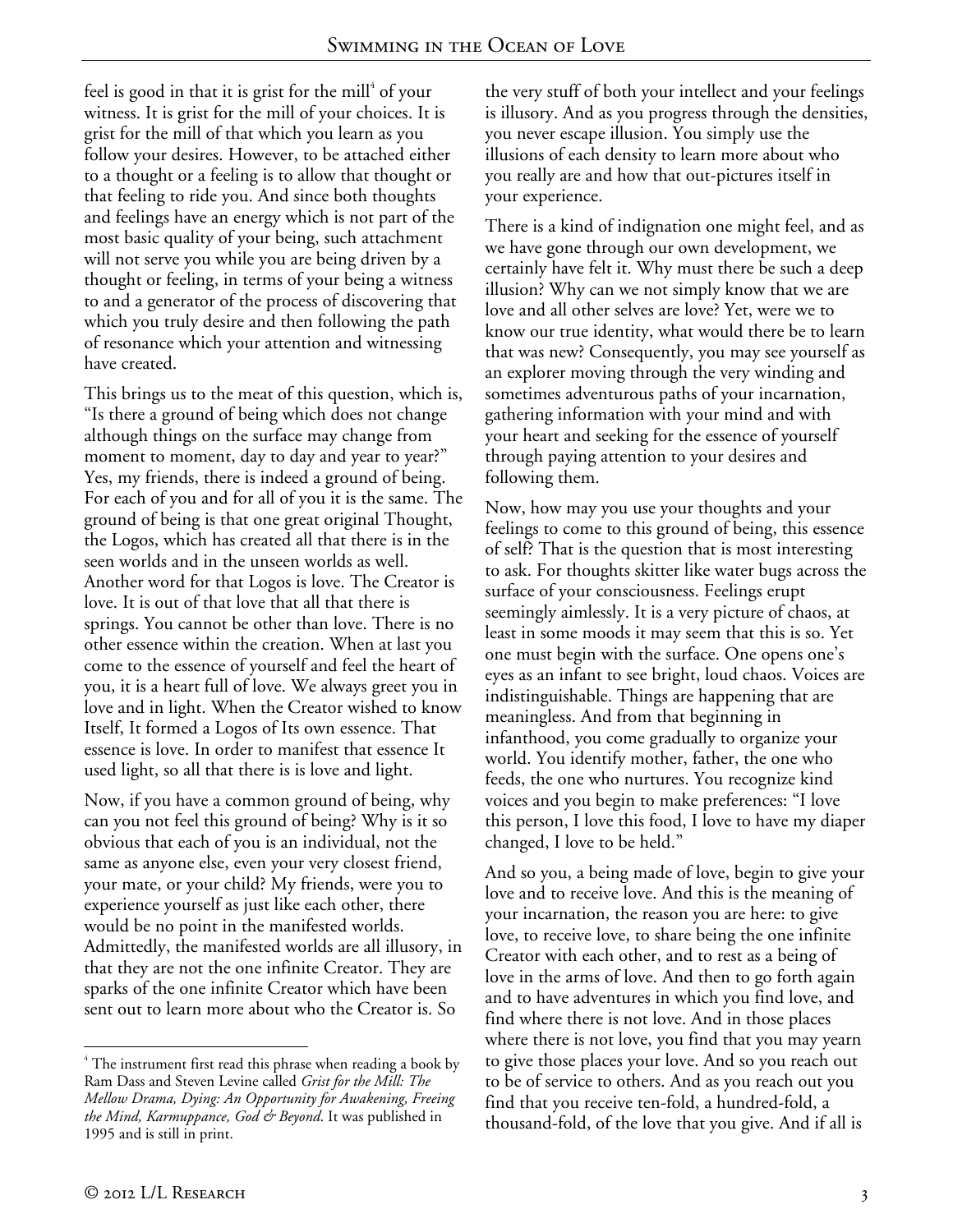feel is good in that it is grist for the mill $^4$  of your witness. It is grist for the mill of your choices. It is grist for the mill of that which you learn as you follow your desires. However, to be attached either to a thought or a feeling is to allow that thought or that feeling to ride you. And since both thoughts and feelings have an energy which is not part of the most basic quality of your being, such attachment will not serve you while you are being driven by a thought or feeling, in terms of your being a witness to and a generator of the process of discovering that which you truly desire and then following the path of resonance which your attention and witnessing have created.

This brings us to the meat of this question, which is, "Is there a ground of being which does not change although things on the surface may change from moment to moment, day to day and year to year?" Yes, my friends, there is indeed a ground of being. For each of you and for all of you it is the same. The ground of being is that one great original Thought, the Logos, which has created all that there is in the seen worlds and in the unseen worlds as well. Another word for that Logos is love. The Creator is love. It is out of that love that all that there is springs. You cannot be other than love. There is no other essence within the creation. When at last you come to the essence of yourself and feel the heart of you, it is a heart full of love. We always greet you in love and in light. When the Creator wished to know Itself, It formed a Logos of Its own essence. That essence is love. In order to manifest that essence It used light, so all that there is is love and light.

Now, if you have a common ground of being, why can you not feel this ground of being? Why is it so obvious that each of you is an individual, not the same as anyone else, even your very closest friend, your mate, or your child? My friends, were you to experience yourself as just like each other, there would be no point in the manifested worlds. Admittedly, the manifested worlds are all illusory, in that they are not the one infinite Creator. They are sparks of the one infinite Creator which have been sent out to learn more about who the Creator is. So

the very stuff of both your intellect and your feelings is illusory. And as you progress through the densities, you never escape illusion. You simply use the illusions of each density to learn more about who you really are and how that out-pictures itself in your experience.

There is a kind of indignation one might feel, and as we have gone through our own development, we certainly have felt it. Why must there be such a deep illusion? Why can we not simply know that we are love and all other selves are love? Yet, were we to know our true identity, what would there be to learn that was new? Consequently, you may see yourself as an explorer moving through the very winding and sometimes adventurous paths of your incarnation, gathering information with your mind and with your heart and seeking for the essence of yourself through paying attention to your desires and following them.

Now, how may you use your thoughts and your feelings to come to this ground of being, this essence of self? That is the question that is most interesting to ask. For thoughts skitter like water bugs across the surface of your consciousness. Feelings erupt seemingly aimlessly. It is a very picture of chaos, at least in some moods it may seem that this is so. Yet one must begin with the surface. One opens one's eyes as an infant to see bright, loud chaos. Voices are indistinguishable. Things are happening that are meaningless. And from that beginning in infanthood, you come gradually to organize your world. You identify mother, father, the one who feeds, the one who nurtures. You recognize kind voices and you begin to make preferences: "I love this person, I love this food, I love to have my diaper changed, I love to be held."

And so you, a being made of love, begin to give your love and to receive love. And this is the meaning of your incarnation, the reason you are here: to give love, to receive love, to share being the one infinite Creator with each other, and to rest as a being of love in the arms of love. And then to go forth again and to have adventures in which you find love, and find where there is not love. And in those places where there is not love, you find that you may yearn to give those places your love. And so you reach out to be of service to others. And as you reach out you find that you receive ten-fold, a hundred-fold, a thousand-fold, of the love that you give. And if all is

 $\overline{a}$ <sup>4</sup> The instrument first read this phrase when reading a book by Ram Dass and Steven Levine called *Grist for the Mill: The Mellow Drama, Dying: An Opportunity for Awakening, Freeing the Mind, Karmuppance, God & Beyond*. It was published in 1995 and is still in print.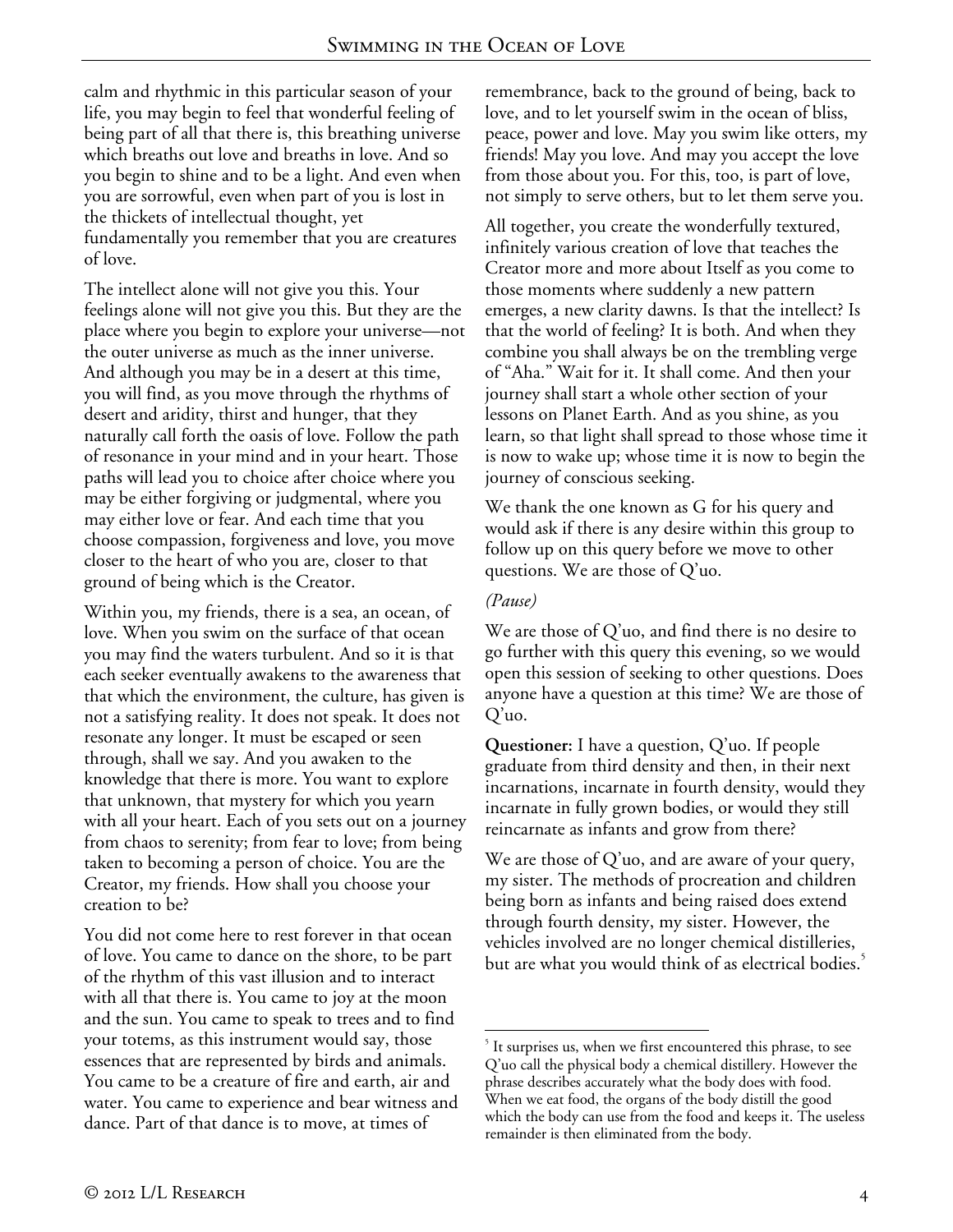calm and rhythmic in this particular season of your life, you may begin to feel that wonderful feeling of being part of all that there is, this breathing universe which breaths out love and breaths in love. And so you begin to shine and to be a light. And even when you are sorrowful, even when part of you is lost in the thickets of intellectual thought, yet fundamentally you remember that you are creatures of love.

The intellect alone will not give you this. Your feelings alone will not give you this. But they are the place where you begin to explore your universe—not the outer universe as much as the inner universe. And although you may be in a desert at this time, you will find, as you move through the rhythms of desert and aridity, thirst and hunger, that they naturally call forth the oasis of love. Follow the path of resonance in your mind and in your heart. Those paths will lead you to choice after choice where you may be either forgiving or judgmental, where you may either love or fear. And each time that you choose compassion, forgiveness and love, you move closer to the heart of who you are, closer to that ground of being which is the Creator.

Within you, my friends, there is a sea, an ocean, of love. When you swim on the surface of that ocean you may find the waters turbulent. And so it is that each seeker eventually awakens to the awareness that that which the environment, the culture, has given is not a satisfying reality. It does not speak. It does not resonate any longer. It must be escaped or seen through, shall we say. And you awaken to the knowledge that there is more. You want to explore that unknown, that mystery for which you yearn with all your heart. Each of you sets out on a journey from chaos to serenity; from fear to love; from being taken to becoming a person of choice. You are the Creator, my friends. How shall you choose your creation to be?

You did not come here to rest forever in that ocean of love. You came to dance on the shore, to be part of the rhythm of this vast illusion and to interact with all that there is. You came to joy at the moon and the sun. You came to speak to trees and to find your totems, as this instrument would say, those essences that are represented by birds and animals. You came to be a creature of fire and earth, air and water. You came to experience and bear witness and dance. Part of that dance is to move, at times of

remembrance, back to the ground of being, back to love, and to let yourself swim in the ocean of bliss, peace, power and love. May you swim like otters, my friends! May you love. And may you accept the love from those about you. For this, too, is part of love, not simply to serve others, but to let them serve you.

All together, you create the wonderfully textured, infinitely various creation of love that teaches the Creator more and more about Itself as you come to those moments where suddenly a new pattern emerges, a new clarity dawns. Is that the intellect? Is that the world of feeling? It is both. And when they combine you shall always be on the trembling verge of "Aha." Wait for it. It shall come. And then your journey shall start a whole other section of your lessons on Planet Earth. And as you shine, as you learn, so that light shall spread to those whose time it is now to wake up; whose time it is now to begin the journey of conscious seeking.

We thank the one known as G for his query and would ask if there is any desire within this group to follow up on this query before we move to other questions. We are those of Q'uo.

### *(Pause)*

We are those of Q'uo, and find there is no desire to go further with this query this evening, so we would open this session of seeking to other questions. Does anyone have a question at this time? We are those of Q'uo.

**Questioner:** I have a question, Q'uo. If people graduate from third density and then, in their next incarnations, incarnate in fourth density, would they incarnate in fully grown bodies, or would they still reincarnate as infants and grow from there?

We are those of Q'uo, and are aware of your query, my sister. The methods of procreation and children being born as infants and being raised does extend through fourth density, my sister. However, the vehicles involved are no longer chemical distilleries, but are what you would think of as electrical bodies.

 $\overline{a}$ <sup>5</sup> It surprises us, when we first encountered this phrase, to see Q'uo call the physical body a chemical distillery. However the phrase describes accurately what the body does with food. When we eat food, the organs of the body distill the good which the body can use from the food and keeps it. The useless remainder is then eliminated from the body.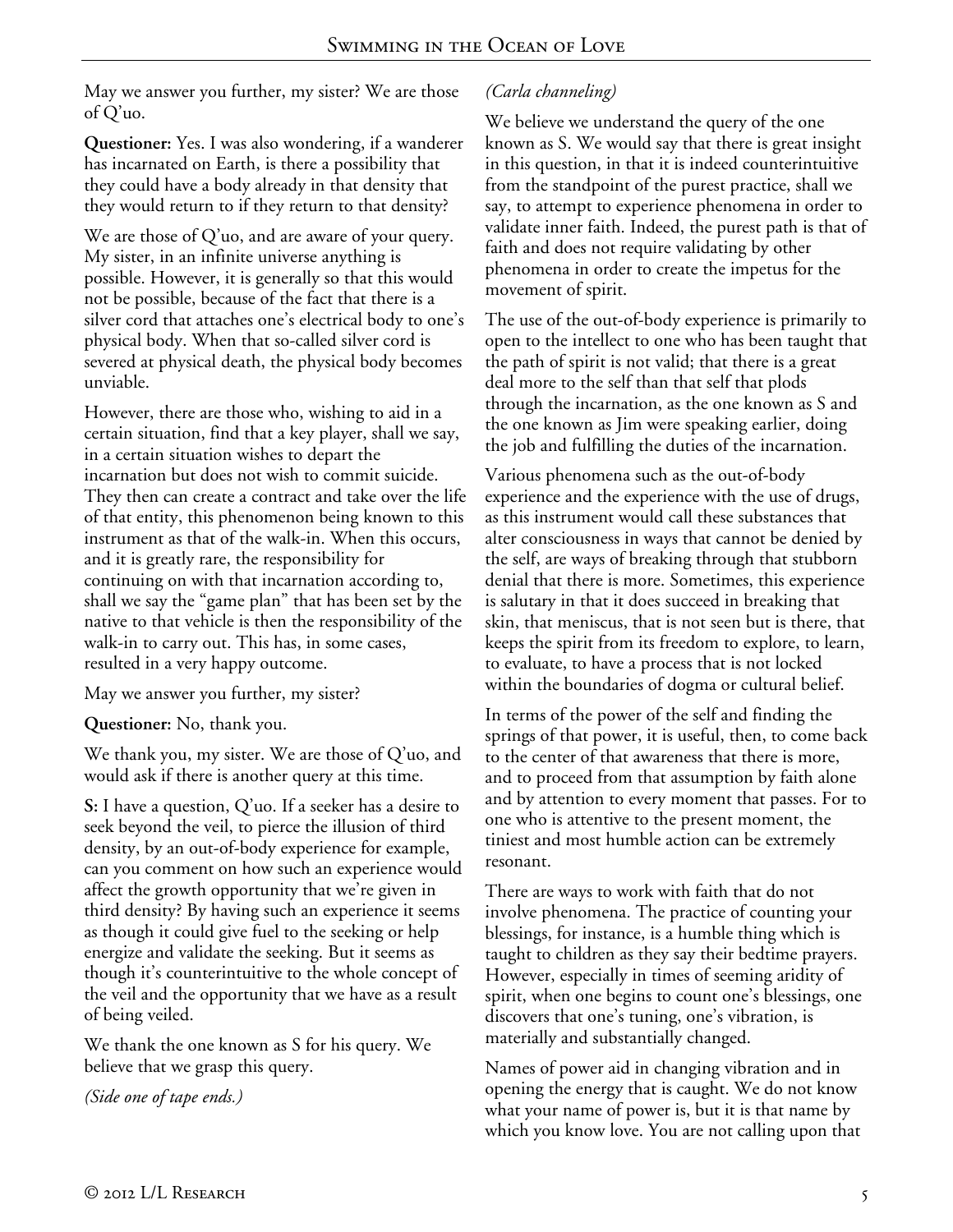May we answer you further, my sister? We are those of Q'uo.

**Questioner:** Yes. I was also wondering, if a wanderer has incarnated on Earth, is there a possibility that they could have a body already in that density that they would return to if they return to that density?

We are those of Q'uo, and are aware of your query. My sister, in an infinite universe anything is possible. However, it is generally so that this would not be possible, because of the fact that there is a silver cord that attaches one's electrical body to one's physical body. When that so-called silver cord is severed at physical death, the physical body becomes unviable.

However, there are those who, wishing to aid in a certain situation, find that a key player, shall we say, in a certain situation wishes to depart the incarnation but does not wish to commit suicide. They then can create a contract and take over the life of that entity, this phenomenon being known to this instrument as that of the walk-in. When this occurs, and it is greatly rare, the responsibility for continuing on with that incarnation according to, shall we say the "game plan" that has been set by the native to that vehicle is then the responsibility of the walk-in to carry out. This has, in some cases, resulted in a very happy outcome.

May we answer you further, my sister?

**Questioner:** No, thank you.

We thank you, my sister. We are those of Q'uo, and would ask if there is another query at this time.

**S:** I have a question, Q'uo. If a seeker has a desire to seek beyond the veil, to pierce the illusion of third density, by an out-of-body experience for example, can you comment on how such an experience would affect the growth opportunity that we're given in third density? By having such an experience it seems as though it could give fuel to the seeking or help energize and validate the seeking. But it seems as though it's counterintuitive to the whole concept of the veil and the opportunity that we have as a result of being veiled.

We thank the one known as S for his query. We believe that we grasp this query.

*(Side one of tape ends.)* 

# *(Carla channeling)*

We believe we understand the query of the one known as S. We would say that there is great insight in this question, in that it is indeed counterintuitive from the standpoint of the purest practice, shall we say, to attempt to experience phenomena in order to validate inner faith. Indeed, the purest path is that of faith and does not require validating by other phenomena in order to create the impetus for the movement of spirit.

The use of the out-of-body experience is primarily to open to the intellect to one who has been taught that the path of spirit is not valid; that there is a great deal more to the self than that self that plods through the incarnation, as the one known as S and the one known as Jim were speaking earlier, doing the job and fulfilling the duties of the incarnation.

Various phenomena such as the out-of-body experience and the experience with the use of drugs, as this instrument would call these substances that alter consciousness in ways that cannot be denied by the self, are ways of breaking through that stubborn denial that there is more. Sometimes, this experience is salutary in that it does succeed in breaking that skin, that meniscus, that is not seen but is there, that keeps the spirit from its freedom to explore, to learn, to evaluate, to have a process that is not locked within the boundaries of dogma or cultural belief.

In terms of the power of the self and finding the springs of that power, it is useful, then, to come back to the center of that awareness that there is more, and to proceed from that assumption by faith alone and by attention to every moment that passes. For to one who is attentive to the present moment, the tiniest and most humble action can be extremely resonant.

There are ways to work with faith that do not involve phenomena. The practice of counting your blessings, for instance, is a humble thing which is taught to children as they say their bedtime prayers. However, especially in times of seeming aridity of spirit, when one begins to count one's blessings, one discovers that one's tuning, one's vibration, is materially and substantially changed.

Names of power aid in changing vibration and in opening the energy that is caught. We do not know what your name of power is, but it is that name by which you know love. You are not calling upon that